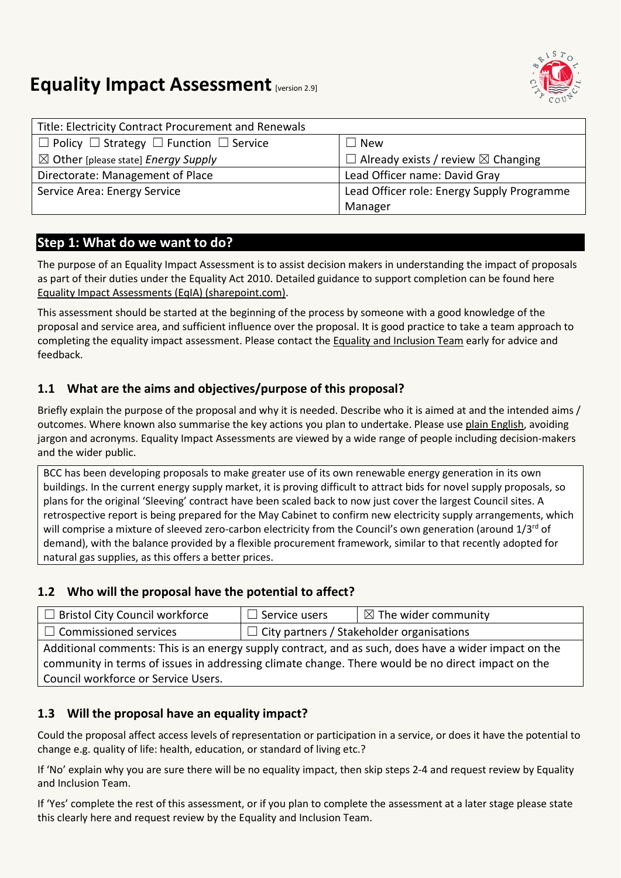

# **Equality Impact Assessment [version 2.9]**

| Title: Electricity Contract Procurement and Renewals         |                                                     |
|--------------------------------------------------------------|-----------------------------------------------------|
| $\Box$ Policy $\Box$ Strategy $\Box$ Function $\Box$ Service | <b>New</b>                                          |
| $\boxtimes$ Other [please state] Energy Supply               | $\Box$ Already exists / review $\boxtimes$ Changing |
| Directorate: Management of Place                             | Lead Officer name: David Gray                       |
| Service Area: Energy Service                                 | Lead Officer role: Energy Supply Programme          |
|                                                              | Manager                                             |

# **Step 1: What do we want to do?**

The purpose of an Equality Impact Assessment is to assist decision makers in understanding the impact of proposals as part of their duties under the Equality Act 2010. Detailed guidance to support completion can be found here [Equality Impact Assessments \(EqIA\) \(sharepoint.com\).](https://bristolcouncil.sharepoint.com/sites/Corporate/SitePages/equality-impact-assessments.aspx) 

This assessment should be started at the beginning of the process by someone with a good knowledge of the proposal and service area, and sufficient influence over the proposal. It is good practice to take a team approach to completing the equality impact assessment. Please contact the [Equality and Inclusion Team](mailto:equalities.team@bristol.gov.uk) early for advice and feedback.

# **1.1 What are the aims and objectives/purpose of this proposal?**

Briefly explain the purpose of the proposal and why it is needed. Describe who it is aimed at and the intended aims / outcomes. Where known also summarise the key actions you plan to undertake. Please us[e plain English,](http://www.plainenglish.co.uk/) avoiding jargon and acronyms. Equality Impact Assessments are viewed by a wide range of people including decision-makers and the wider public.

BCC has been developing proposals to make greater use of its own renewable energy generation in its own buildings. In the current energy supply market, it is proving difficult to attract bids for novel supply proposals, so plans for the original 'Sleeving' contract have been scaled back to now just cover the largest Council sites. A retrospective report is being prepared for the May Cabinet to confirm new electricity supply arrangements, which will comprise a mixture of sleeved zero-carbon electricity from the Council's own generation (around 1/3<sup>rd</sup> of demand), with the balance provided by a flexible procurement framework, similar to that recently adopted for natural gas supplies, as this offers a better prices.

### **1.2 Who will the proposal have the potential to affect?**

| $\Box$ Bristol City Council workforce                                                                | $\Box$ Service users                             | $\mid \boxtimes$ The wider community |
|------------------------------------------------------------------------------------------------------|--------------------------------------------------|--------------------------------------|
| $\Box$ Commissioned services                                                                         | $\Box$ City partners / Stakeholder organisations |                                      |
| Additional comments: This is an energy supply contract, and as such, does have a wider impact on the |                                                  |                                      |
| community in terms of issues in addressing climate change. There would be no direct impact on the    |                                                  |                                      |
| Council workforce or Service Users.                                                                  |                                                  |                                      |

### **1.3 Will the proposal have an equality impact?**

Could the proposal affect access levels of representation or participation in a service, or does it have the potential to change e.g. quality of life: health, education, or standard of living etc.?

If 'No' explain why you are sure there will be no equality impact, then skip steps 2-4 and request review by Equality and Inclusion Team.

If 'Yes' complete the rest of this assessment, or if you plan to complete the assessment at a later stage please state this clearly here and request review by the [Equality and Inclusion Team.](mailto:equalities.team@bristol.gov.uk)